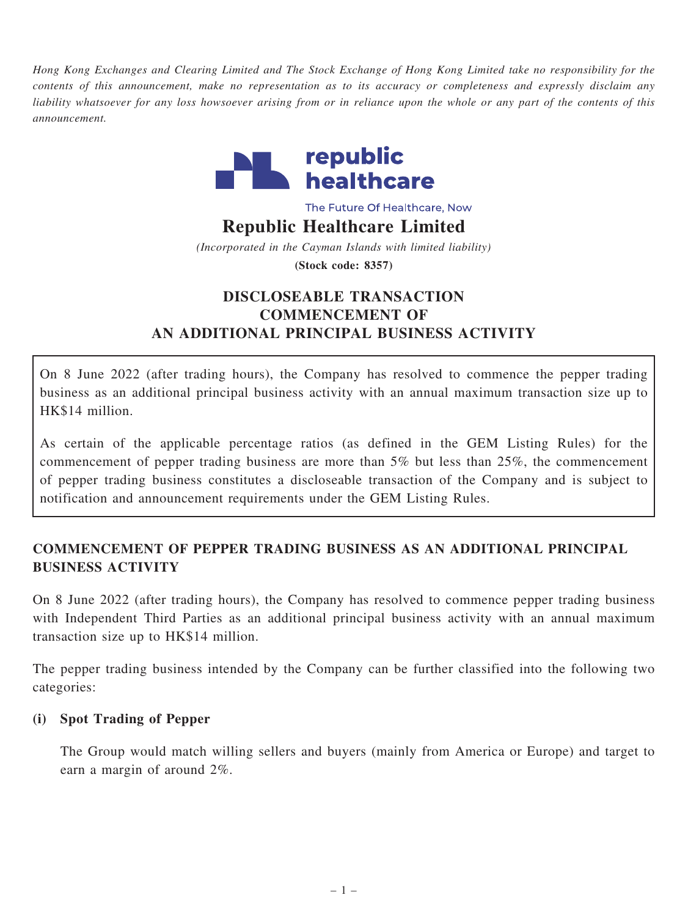Hong Kong Exchanges and Clearing Limited and The Stock Exchange of Hong Kong Limited take no responsibility for the contents of this announcement, make no representation as to its accuracy or completeness and expressly disclaim any liability whatsoever for any loss howsoever arising from or in reliance upon the whole or any part of the contents of this announcement.



The Future Of Healthcare, Now

### Republic Healthcare Limited

(Incorporated in the Cayman Islands with limited liability) (Stock code: 8357)

# DISCLOSEABLE TRANSACTION COMMENCEMENT OF AN ADDITIONAL PRINCIPAL BUSINESS ACTIVITY

On 8 June 2022 (after trading hours), the Company has resolved to commence the pepper trading business as an additional principal business activity with an annual maximum transaction size up to HK\$14 million.

As certain of the applicable percentage ratios (as defined in the GEM Listing Rules) for the commencement of pepper trading business are more than 5% but less than 25%, the commencement of pepper trading business constitutes a discloseable transaction of the Company and is subject to notification and announcement requirements under the GEM Listing Rules.

# COMMENCEMENT OF PEPPER TRADING BUSINESS AS AN ADDITIONAL PRINCIPAL BUSINESS ACTIVITY

On 8 June 2022 (after trading hours), the Company has resolved to commence pepper trading business with Independent Third Parties as an additional principal business activity with an annual maximum transaction size up to HK\$14 million.

The pepper trading business intended by the Company can be further classified into the following two categories:

## (i) Spot Trading of Pepper

The Group would match willing sellers and buyers (mainly from America or Europe) and target to earn a margin of around 2%.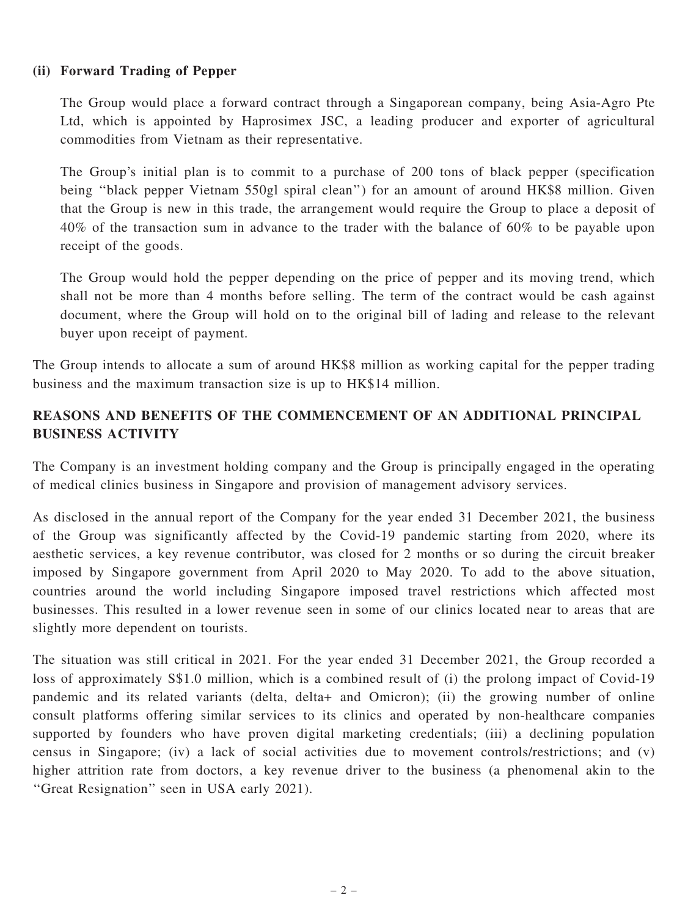#### (ii) Forward Trading of Pepper

The Group would place a forward contract through a Singaporean company, being Asia-Agro Pte Ltd, which is appointed by Haprosimex JSC, a leading producer and exporter of agricultural commodities from Vietnam as their representative.

The Group's initial plan is to commit to a purchase of 200 tons of black pepper (specification being ''black pepper Vietnam 550gl spiral clean'') for an amount of around HK\$8 million. Given that the Group is new in this trade, the arrangement would require the Group to place a deposit of 40% of the transaction sum in advance to the trader with the balance of 60% to be payable upon receipt of the goods.

The Group would hold the pepper depending on the price of pepper and its moving trend, which shall not be more than 4 months before selling. The term of the contract would be cash against document, where the Group will hold on to the original bill of lading and release to the relevant buyer upon receipt of payment.

The Group intends to allocate a sum of around HK\$8 million as working capital for the pepper trading business and the maximum transaction size is up to HK\$14 million.

# REASONS AND BENEFITS OF THE COMMENCEMENT OF AN ADDITIONAL PRINCIPAL BUSINESS ACTIVITY

The Company is an investment holding company and the Group is principally engaged in the operating of medical clinics business in Singapore and provision of management advisory services.

As disclosed in the annual report of the Company for the year ended 31 December 2021, the business of the Group was significantly affected by the Covid-19 pandemic starting from 2020, where its aesthetic services, a key revenue contributor, was closed for 2 months or so during the circuit breaker imposed by Singapore government from April 2020 to May 2020. To add to the above situation, countries around the world including Singapore imposed travel restrictions which affected most businesses. This resulted in a lower revenue seen in some of our clinics located near to areas that are slightly more dependent on tourists.

The situation was still critical in 2021. For the year ended 31 December 2021, the Group recorded a loss of approximately S\$1.0 million, which is a combined result of (i) the prolong impact of Covid-19 pandemic and its related variants (delta, delta+ and Omicron); (ii) the growing number of online consult platforms offering similar services to its clinics and operated by non-healthcare companies supported by founders who have proven digital marketing credentials; (iii) a declining population census in Singapore; (iv) a lack of social activities due to movement controls/restrictions; and (v) higher attrition rate from doctors, a key revenue driver to the business (a phenomenal akin to the ''Great Resignation'' seen in USA early 2021).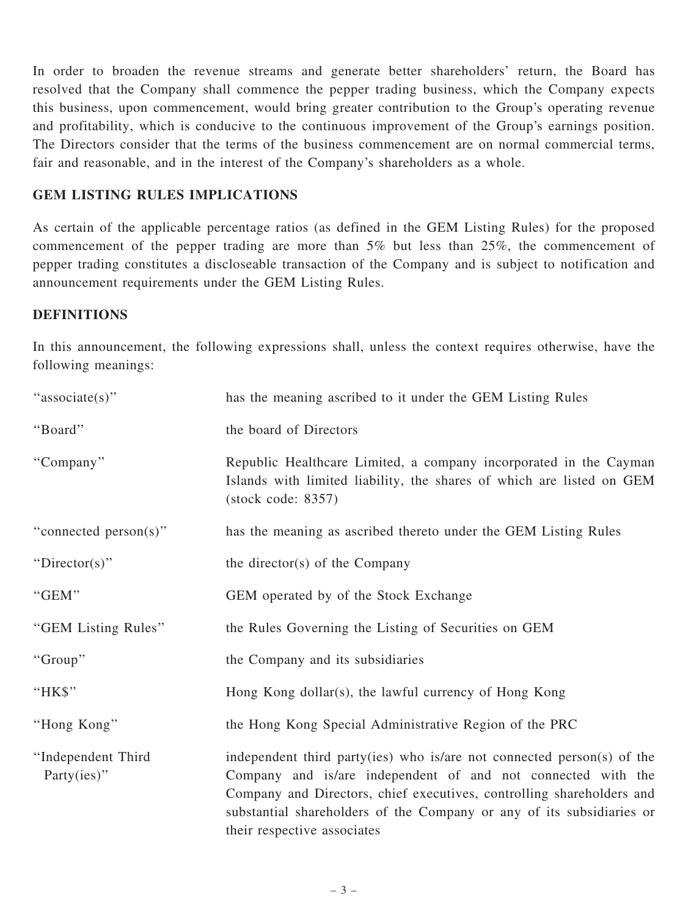In order to broaden the revenue streams and generate better shareholders' return, the Board has resolved that the Company shall commence the pepper trading business, which the Company expects this business, upon commencement, would bring greater contribution to the Group's operating revenue and profitability, which is conducive to the continuous improvement of the Group's earnings position. The Directors consider that the terms of the business commencement are on normal commercial terms, fair and reasonable, and in the interest of the Company's shareholders as a whole.

### GEM LISTING RULES IMPLICATIONS

As certain of the applicable percentage ratios (as defined in the GEM Listing Rules) for the proposed commencement of the pepper trading are more than 5% but less than 25%, the commencement of pepper trading constitutes a discloseable transaction of the Company and is subject to notification and announcement requirements under the GEM Listing Rules.

#### **DEFINITIONS**

In this announcement, the following expressions shall, unless the context requires otherwise, have the following meanings:

| "associate(s)"                    | has the meaning ascribed to it under the GEM Listing Rules                                                                                                                                                                                                                                                              |
|-----------------------------------|-------------------------------------------------------------------------------------------------------------------------------------------------------------------------------------------------------------------------------------------------------------------------------------------------------------------------|
| "Board"                           | the board of Directors                                                                                                                                                                                                                                                                                                  |
| "Company"                         | Republic Healthcare Limited, a company incorporated in the Cayman<br>Islands with limited liability, the shares of which are listed on GEM<br>$(\text{stock code: } 8357)$                                                                                                                                              |
| "connected person(s)"             | has the meaning as ascribed thereto under the GEM Listing Rules                                                                                                                                                                                                                                                         |
| "Director(s)"                     | the director(s) of the Company                                                                                                                                                                                                                                                                                          |
| "GEM"                             | GEM operated by of the Stock Exchange                                                                                                                                                                                                                                                                                   |
| "GEM Listing Rules"               | the Rules Governing the Listing of Securities on GEM                                                                                                                                                                                                                                                                    |
| "Group"                           | the Company and its subsidiaries                                                                                                                                                                                                                                                                                        |
| "HK\$"                            | Hong Kong dollar(s), the lawful currency of Hong Kong                                                                                                                                                                                                                                                                   |
| "Hong Kong"                       | the Hong Kong Special Administrative Region of the PRC                                                                                                                                                                                                                                                                  |
| "Independent Third<br>Party(ies)" | independent third party(ies) who is/are not connected person(s) of the<br>Company and is/are independent of and not connected with the<br>Company and Directors, chief executives, controlling shareholders and<br>substantial shareholders of the Company or any of its subsidiaries or<br>their respective associates |